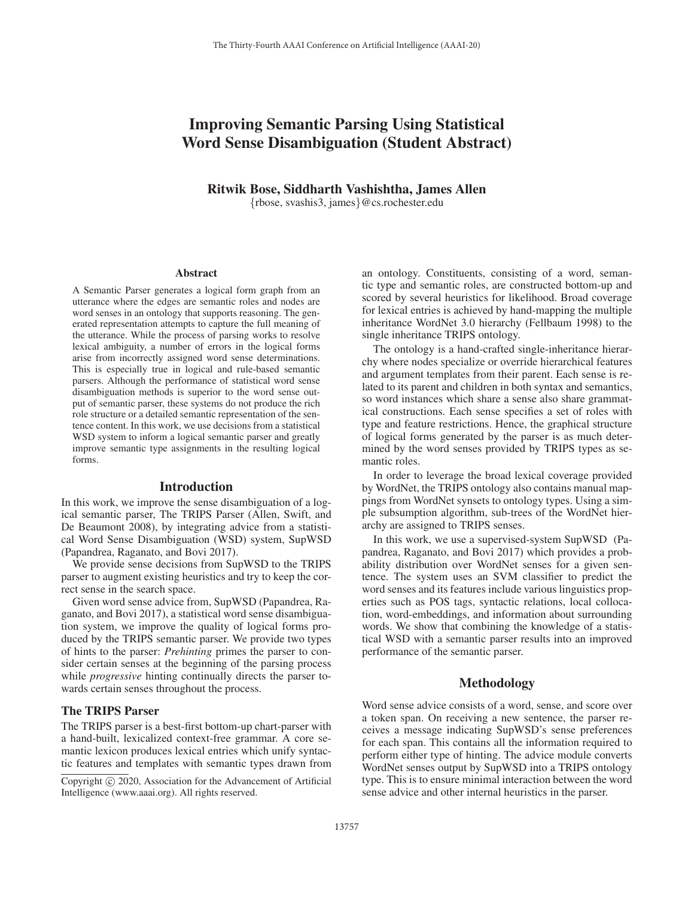# Improving Semantic Parsing Using Statistical Word Sense Disambiguation (Student Abstract)

Ritwik Bose, Siddharth Vashishtha, James Allen {rbose, svashis3, james}@cs.rochester.edu

#### Abstract

A Semantic Parser generates a logical form graph from an utterance where the edges are semantic roles and nodes are word senses in an ontology that supports reasoning. The generated representation attempts to capture the full meaning of the utterance. While the process of parsing works to resolve lexical ambiguity, a number of errors in the logical forms arise from incorrectly assigned word sense determinations. This is especially true in logical and rule-based semantic parsers. Although the performance of statistical word sense disambiguation methods is superior to the word sense output of semantic parser, these systems do not produce the rich role structure or a detailed semantic representation of the sentence content. In this work, we use decisions from a statistical WSD system to inform a logical semantic parser and greatly improve semantic type assignments in the resulting logical forms.

#### Introduction

In this work, we improve the sense disambiguation of a logical semantic parser, The TRIPS Parser (Allen, Swift, and De Beaumont 2008), by integrating advice from a statistical Word Sense Disambiguation (WSD) system, SupWSD (Papandrea, Raganato, and Bovi 2017).

We provide sense decisions from SupWSD to the TRIPS parser to augment existing heuristics and try to keep the correct sense in the search space.

Given word sense advice from, SupWSD (Papandrea, Raganato, and Bovi 2017), a statistical word sense disambiguation system, we improve the quality of logical forms produced by the TRIPS semantic parser. We provide two types of hints to the parser: *Prehinting* primes the parser to consider certain senses at the beginning of the parsing process while *progressive* hinting continually directs the parser towards certain senses throughout the process.

### The TRIPS Parser

The TRIPS parser is a best-first bottom-up chart-parser with a hand-built, lexicalized context-free grammar. A core semantic lexicon produces lexical entries which unify syntactic features and templates with semantic types drawn from an ontology. Constituents, consisting of a word, semantic type and semantic roles, are constructed bottom-up and scored by several heuristics for likelihood. Broad coverage for lexical entries is achieved by hand-mapping the multiple inheritance WordNet 3.0 hierarchy (Fellbaum 1998) to the single inheritance TRIPS ontology.

The ontology is a hand-crafted single-inheritance hierarchy where nodes specialize or override hierarchical features and argument templates from their parent. Each sense is related to its parent and children in both syntax and semantics, so word instances which share a sense also share grammatical constructions. Each sense specifies a set of roles with type and feature restrictions. Hence, the graphical structure of logical forms generated by the parser is as much determined by the word senses provided by TRIPS types as semantic roles.

In order to leverage the broad lexical coverage provided by WordNet, the TRIPS ontology also contains manual mappings from WordNet synsets to ontology types. Using a simple subsumption algorithm, sub-trees of the WordNet hierarchy are assigned to TRIPS senses.

In this work, we use a supervised-system SupWSD (Papandrea, Raganato, and Bovi 2017) which provides a probability distribution over WordNet senses for a given sentence. The system uses an SVM classifier to predict the word senses and its features include various linguistics properties such as POS tags, syntactic relations, local collocation, word-embeddings, and information about surrounding words. We show that combining the knowledge of a statistical WSD with a semantic parser results into an improved performance of the semantic parser.

## Methodology

Word sense advice consists of a word, sense, and score over a token span. On receiving a new sentence, the parser receives a message indicating SupWSD's sense preferences for each span. This contains all the information required to perform either type of hinting. The advice module converts WordNet senses output by SupWSD into a TRIPS ontology type. This is to ensure minimal interaction between the word sense advice and other internal heuristics in the parser.

Copyright  $\odot$  2020, Association for the Advancement of Artificial Intelligence (www.aaai.org). All rights reserved.